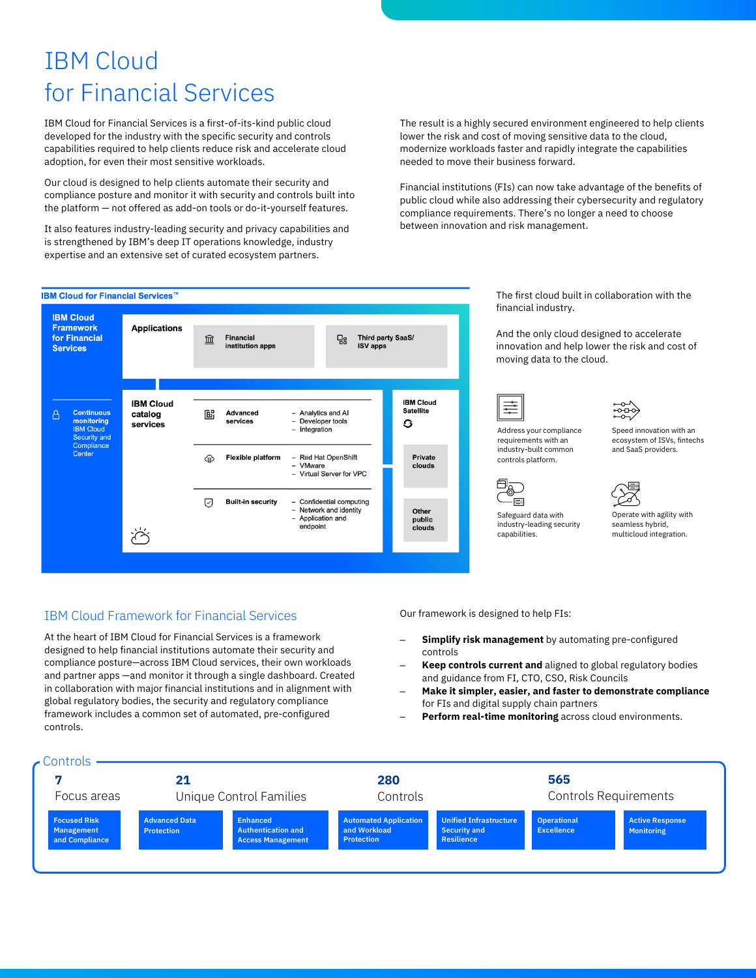# IBM Cloud for Financial Services

IBM Cloud for Financial Services is a first-of-its-kind public cloud developed for the industry with the specific security and controls capabilities required to help clients reduce risk and accelerate cloud adoption, for even their most sensitive workloads.

Our cloud is designed to help clients automate their security and compliance posture and monitor it with security and controls built into the platform — not offered as add-on tools or do-it-yourself features.

It also features industry-leading security and privacy capabilities and is strengthened by IBM's deep IT operations knowledge, industry expertise and an extensive set of curated ecosystem partners.

The result is a highly secured environment engineered to help clients lower the risk and cost of moving sensitive data to the cloud, modernize workloads faster and rapidly integrate the capabilities needed to move their business forward.

Financial institutions (FIs) can now take advantage of the benefits of public cloud while also addressing their cybersecurity and regulatory compliance requirements. There's no longer a need to choose between innovation and risk management.



### IBM Cloud Framework for Financial Services

At the heart of IBM Cloud for Financial Services is a framework designed to help financial institutions automate their security and compliance posture—across IBM Cloud services, their own workloads and partner apps —and monitor it through a single dashboard. Created in collaboration with major financial institutions and in alignment with global regulatory bodies, the security and regulatory compliance framework includes a common set of automated, pre-configured controls.

The first cloud built in collaboration with the financial industry.

And the only cloud designed to accelerate innovation and help lower the risk and cost of moving data to the cloud.













Safeguard data with industry-leading security Operate with agility with seamless hybrid, multicloud integration.

capabilities.

Our framework is designed to help FIs:

- **Simplify risk management** by automating pre-configured controls
- **Keep controls current and** aligned to global regulatory bodies and guidance from FI, CTO, CSO, Risk Councils
- **Make it simpler, easier, and faster to demonstrate compliance** for FIs and digital supply chain partners
- **Perform real-time monitoring** across cloud environments.